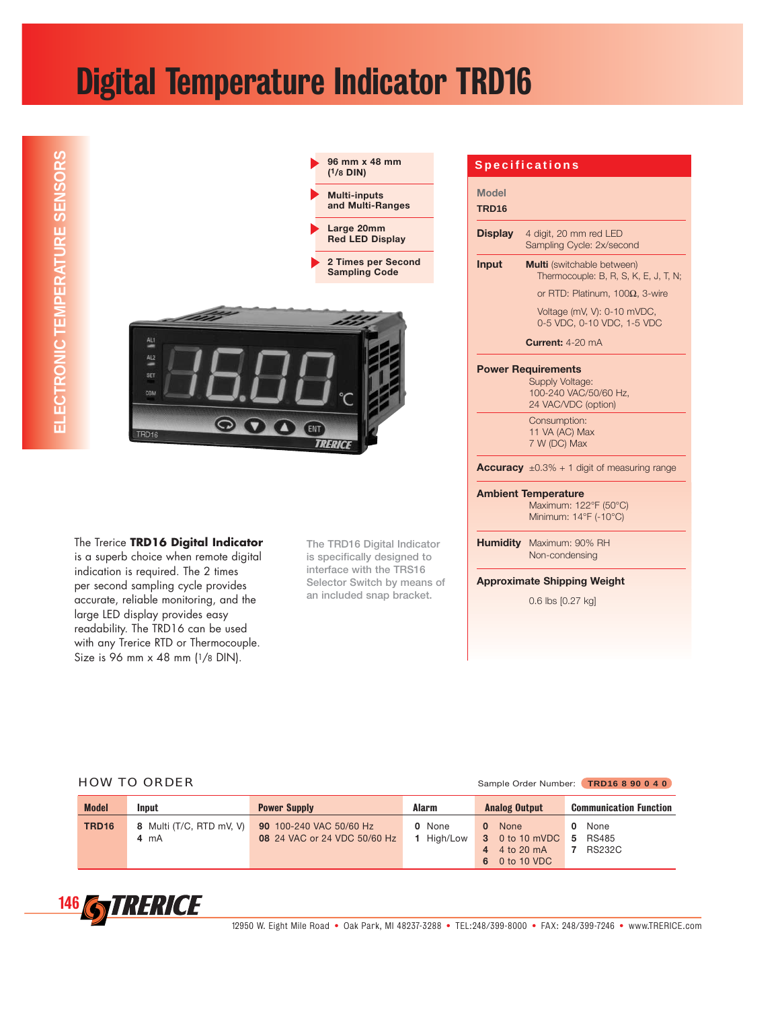## Digital Temperature Indicator TRD16



The Trerice **TRD16 Digital Indicator** is a superb choice when remote digital indication is required. The 2 times per second sampling cycle provides accurate, reliable monitoring, and the large LED display provides easy readability. The TRD16 can be used with any Trerice RTD or Thermocouple. Size is 96 mm x 48 mm (1/8 DIN).

**The TRD16 Digital Indicator is specifically designed to interface with the TRS16 Selector Switch by means of an included snap bracket.**

|                                   | <b>Specifications</b>                                                                                                                               |
|-----------------------------------|-----------------------------------------------------------------------------------------------------------------------------------------------------|
| <b>Model</b><br>TRD <sub>16</sub> |                                                                                                                                                     |
| <b>Display</b>                    | 4 digit, 20 mm red LED<br>Sampling Cycle: 2x/second                                                                                                 |
| Input                             | <b>Multi</b> (switchable between)<br>Thermocouple: B, R, S, K, E, J, T, N;<br>or RTD: Platinum, $100\Omega$ , 3-wire<br>Voltage (mV, V): 0-10 mVDC, |
|                                   | 0-5 VDC, 0-10 VDC, 1-5 VDC<br><b>Current:</b> $4-20$ mA                                                                                             |
|                                   | <b>Power Requirements</b><br>Supply Voltage:<br>100-240 VAC/50/60 Hz,<br>24 VAC/VDC (option)                                                        |
|                                   | Consumption:<br>11 VA (AC) Max<br>7 W (DC) Max                                                                                                      |
|                                   | <b>Accuracy</b> $\pm 0.3\% + 1$ digit of measuring range                                                                                            |
|                                   | <b>Ambient Temperature</b><br>Maximum: 122°F (50°C)<br>Minimum: 14°F (-10°C)                                                                        |
|                                   | Humidity Maximum: 90% RH<br>Non-condensing                                                                                                          |
|                                   | <b>Approximate Shipping Weight</b>                                                                                                                  |
|                                   | 0.6 lbs [0.27 kg]                                                                                                                                   |

### HOW TO ORDER Sample Order Number: **TRD16 8 90 0 4 0**

| <b>Model</b> | Input                                      | <b>Power Supply</b>                                     | Alarm                | <b>Analog Output</b>                                        | <b>Communication Function</b>           |
|--------------|--------------------------------------------|---------------------------------------------------------|----------------------|-------------------------------------------------------------|-----------------------------------------|
| <b>TRD16</b> | 8 Multi (T/C, RTD mV, V)<br>$4 \text{ mA}$ | 90 100-240 VAC 50/60 Hz<br>08 24 VAC or 24 VDC 50/60 Hz | 0 None<br>1 High/Low | 0 None<br>3 0 to 10 mVDC 5<br>4 4 to 20 mA<br>6 0 to 10 VDC | 0 None<br><b>RS485</b><br><b>RS232C</b> |